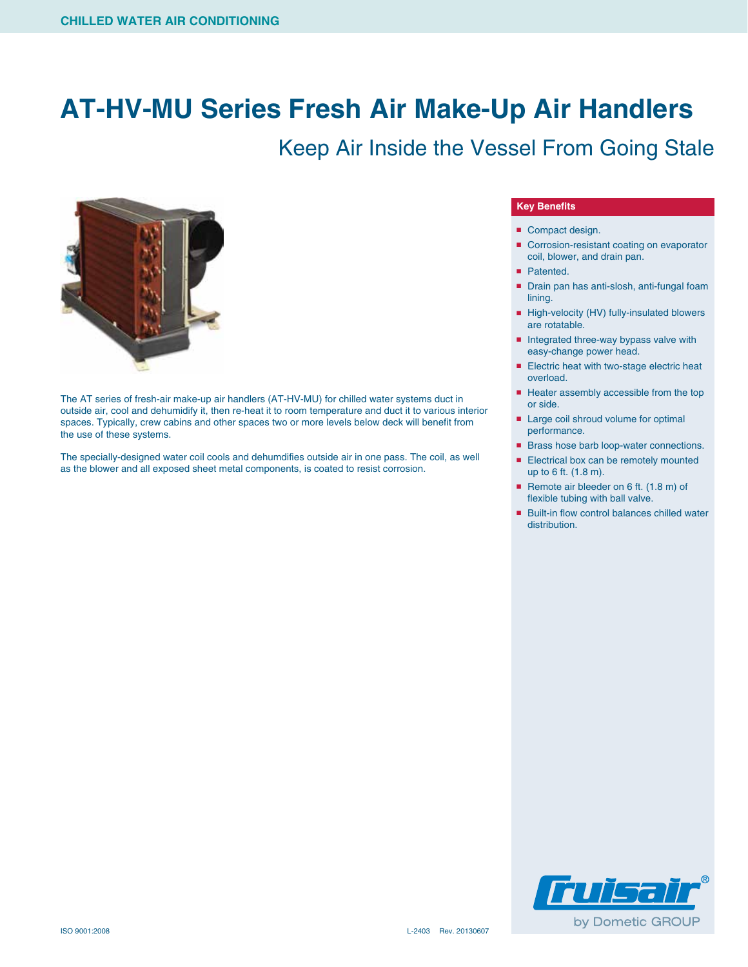### **AT-HV-MU Series Fresh Air Make-Up Air Handlers**

### Keep Air Inside the Vessel From Going Stale



The AT series of fresh-air make-up air handlers (AT-HV-MU) for chilled water systems duct in outside air, cool and dehumidify it, then re-heat it to room temperature and duct it to various interior spaces. Typically, crew cabins and other spaces two or more levels below deck will benefit from the use of these systems.

The specially-designed water coil cools and dehumdifies outside air in one pass. The coil, as well as the blower and all exposed sheet metal components, is coated to resist corrosion.

#### **Key Benefits**

- Compact design.
- Corrosion-resistant coating on evaporator coil, blower, and drain pan.
- Patented.
- Drain pan has anti-slosh, anti-fungal foam lining.
- High-velocity (HV) fully-insulated blowers are rotatable.
- Integrated three-way bypass valve with easy-change power head.
- Electric heat with two-stage electric heat overload.
- Heater assembly accessible from the top or side.
- Large coil shroud volume for optimal performance.
- Brass hose barb loop-water connections.
- Electrical box can be remotely mounted up to 6 ft. (1.8 m).
- Remote air bleeder on 6 ft. (1.8 m) of flexible tubing with ball valve.
- Built-in flow control balances chilled water distribution.